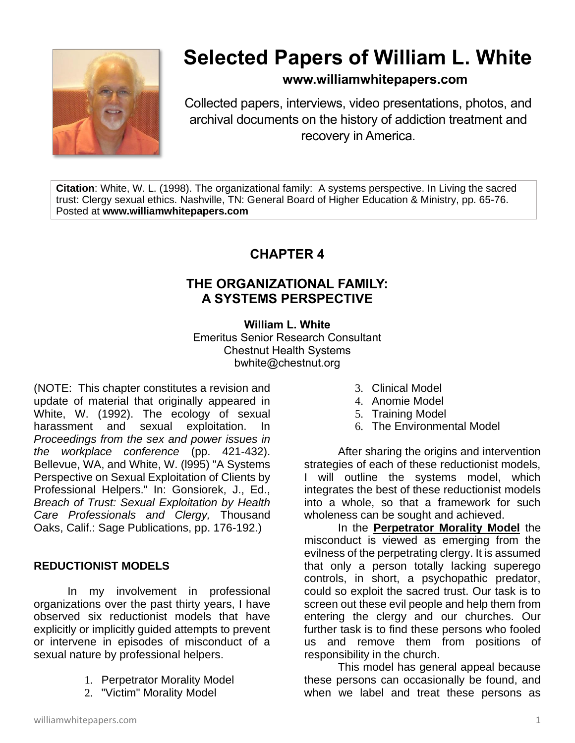

# **Selected Papers of William L. White**

## **www.williamwhitepapers.com**

Collected papers, interviews, video presentations, photos, and archival documents on the history of addiction treatment and recovery in America.

**Citation**: White, W. L. (1998). The organizational family: A systems perspective. In Living the sacred trust: Clergy sexual ethics. Nashville, TN: General Board of Higher Education & Ministry, pp. 65-76. Posted at **www.williamwhitepapers.com**

## **CHAPTER 4**

## **THE ORGANIZATIONAL FAMILY: A SYSTEMS PERSPECTIVE**

## **William L. White**

Emeritus Senior Research Consultant Chestnut Health Systems bwhite@chestnut.org

(NOTE: This chapter constitutes a revision and update of material that originally appeared in White, W. (1992). The ecology of sexual harassment and sexual exploitation. In *Proceedings from the sex and power issues in the workplace conference* (pp. 421-432). Bellevue, WA, and White, W. (l995) "A Systems Perspective on Sexual Exploitation of Clients by Professional Helpers." In: Gonsiorek, J., Ed., *Breach of Trust: Sexual Exploitation by Health Care Professionals and Clergy,* Thousand Oaks, Calif.: Sage Publications, pp. 176-192.)

## **REDUCTIONIST MODELS**

In my involvement in professional organizations over the past thirty years, I have observed six reductionist models that have explicitly or implicitly guided attempts to prevent or intervene in episodes of misconduct of a sexual nature by professional helpers.

- 1. Perpetrator Morality Model
- 2. "Victim" Morality Model
- 3. Clinical Model
- 4. Anomie Model
- 5. Training Model
- 6. The Environmental Model

After sharing the origins and intervention strategies of each of these reductionist models, I will outline the systems model, which integrates the best of these reductionist models into a whole, so that a framework for such wholeness can be sought and achieved.

In the **Perpetrator Morality Model** the misconduct is viewed as emerging from the evilness of the perpetrating clergy. It is assumed that only a person totally lacking superego controls, in short, a psychopathic predator, could so exploit the sacred trust. Our task is to screen out these evil people and help them from entering the clergy and our churches. Our further task is to find these persons who fooled us and remove them from positions of responsibility in the church.

This model has general appeal because these persons can occasionally be found, and when we label and treat these persons as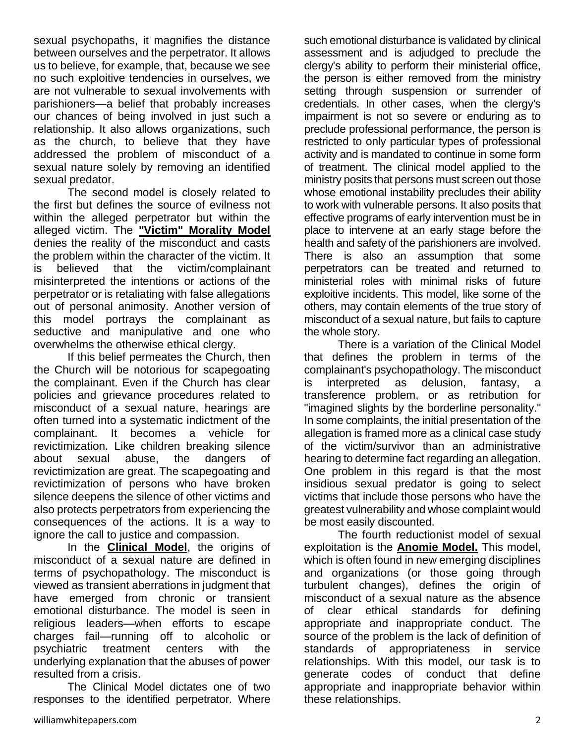sexual psychopaths, it magnifies the distance between ourselves and the perpetrator. It allows us to believe, for example, that, because we see no such exploitive tendencies in ourselves, we are not vulnerable to sexual involvements with parishioners—a belief that probably increases our chances of being involved in just such a relationship. It also allows organizations, such as the church, to believe that they have addressed the problem of misconduct of a sexual nature solely by removing an identified sexual predator.

The second model is closely related to the first but defines the source of evilness not within the alleged perpetrator but within the alleged victim. The **"Victim" Morality Model** denies the reality of the misconduct and casts the problem within the character of the victim. It is believed that the victim/complainant misinterpreted the intentions or actions of the perpetrator or is retaliating with false allegations out of personal animosity. Another version of this model portrays the complainant as seductive and manipulative and one who overwhelms the otherwise ethical clergy.

If this belief permeates the Church, then the Church will be notorious for scapegoating the complainant. Even if the Church has clear policies and grievance procedures related to misconduct of a sexual nature, hearings are often turned into a systematic indictment of the complainant. It becomes a vehicle for revictimization. Like children breaking silence about sexual abuse, the dangers revictimization are great. The scapegoating and revictimization of persons who have broken silence deepens the silence of other victims and also protects perpetrators from experiencing the consequences of the actions. It is a way to ignore the call to justice and compassion.

In the **Clinical Model**, the origins of misconduct of a sexual nature are defined in terms of psychopathology. The misconduct is viewed as transient aberrations in judgment that have emerged from chronic or transient emotional disturbance. The model is seen in religious leaders—when efforts to escape charges fail—running off to alcoholic or psychiatric treatment centers with the underlying explanation that the abuses of power resulted from a crisis.

The Clinical Model dictates one of two responses to the identified perpetrator. Where

such emotional disturbance is validated by clinical assessment and is adjudged to preclude the clergy's ability to perform their ministerial office, the person is either removed from the ministry setting through suspension or surrender of credentials. In other cases, when the clergy's impairment is not so severe or enduring as to preclude professional performance, the person is restricted to only particular types of professional activity and is mandated to continue in some form of treatment. The clinical model applied to the ministry posits that persons must screen out those whose emotional instability precludes their ability to work with vulnerable persons. It also posits that effective programs of early intervention must be in place to intervene at an early stage before the health and safety of the parishioners are involved. There is also an assumption that some perpetrators can be treated and returned to ministerial roles with minimal risks of future exploitive incidents. This model, like some of the others, may contain elements of the true story of misconduct of a sexual nature, but fails to capture the whole story.

There is a variation of the Clinical Model that defines the problem in terms of the complainant's psychopathology. The misconduct is interpreted as delusion, fantasy, a transference problem, or as retribution for "imagined slights by the borderline personality." In some complaints, the initial presentation of the allegation is framed more as a clinical case study of the victim/survivor than an administrative hearing to determine fact regarding an allegation. One problem in this regard is that the most insidious sexual predator is going to select victims that include those persons who have the greatest vulnerability and whose complaint would be most easily discounted.

The fourth reductionist model of sexual exploitation is the **Anomie Model.** This model, which is often found in new emerging disciplines and organizations (or those going through turbulent changes), defines the origin of misconduct of a sexual nature as the absence of clear ethical standards for defining appropriate and inappropriate conduct. The source of the problem is the lack of definition of standards of appropriateness in service relationships. With this model, our task is to generate codes of conduct that define appropriate and inappropriate behavior within these relationships.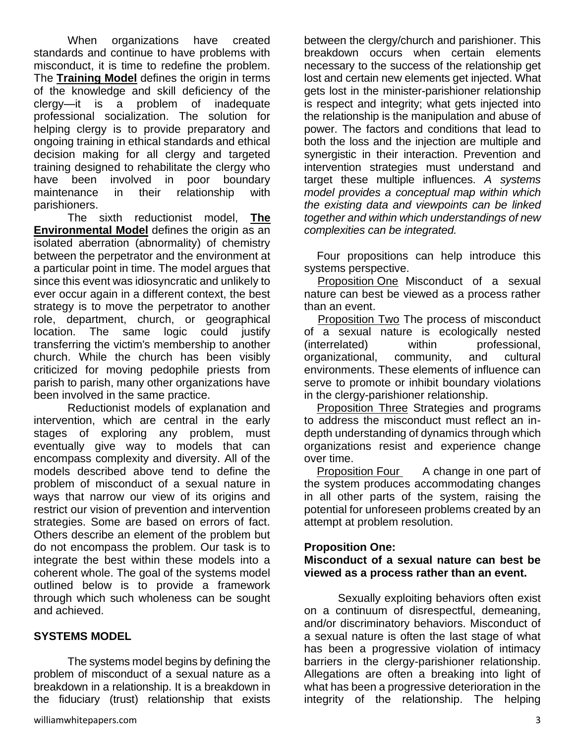When organizations have created standards and continue to have problems with misconduct, it is time to redefine the problem. The **Training Model** defines the origin in terms of the knowledge and skill deficiency of the clergy—it is a problem of inadequate professional socialization. The solution for helping clergy is to provide preparatory and ongoing training in ethical standards and ethical decision making for all clergy and targeted training designed to rehabilitate the clergy who have been involved in poor boundary maintenance in their relationship with parishioners.

The sixth reductionist model, **The Environmental Model** defines the origin as an isolated aberration (abnormality) of chemistry between the perpetrator and the environment at a particular point in time. The model argues that since this event was idiosyncratic and unlikely to ever occur again in a different context, the best strategy is to move the perpetrator to another role, department, church, or geographical location. The same logic could justify transferring the victim's membership to another church. While the church has been visibly criticized for moving pedophile priests from parish to parish, many other organizations have been involved in the same practice.

Reductionist models of explanation and intervention, which are central in the early stages of exploring any problem, must eventually give way to models that can encompass complexity and diversity. All of the models described above tend to define the problem of misconduct of a sexual nature in ways that narrow our view of its origins and restrict our vision of prevention and intervention strategies. Some are based on errors of fact. Others describe an element of the problem but do not encompass the problem. Our task is to integrate the best within these models into a coherent whole. The goal of the systems model outlined below is to provide a framework through which such wholeness can be sought and achieved.

#### **SYSTEMS MODEL**

The systems model begins by defining the problem of misconduct of a sexual nature as a breakdown in a relationship. It is a breakdown in the fiduciary (trust) relationship that exists

between the clergy/church and parishioner. This breakdown occurs when certain elements necessary to the success of the relationship get lost and certain new elements get injected. What gets lost in the minister-parishioner relationship is respect and integrity; what gets injected into the relationship is the manipulation and abuse of power. The factors and conditions that lead to both the loss and the injection are multiple and synergistic in their interaction. Prevention and intervention strategies must understand and target these multiple influences. *A systems model provides a conceptual map within which the existing data and viewpoints can be linked together and within which understandings of new complexities can be integrated.* 

Four propositions can help introduce this systems perspective.

Proposition One Misconduct of a sexual nature can best be viewed as a process rather than an event.

**Proposition Two The process of misconduct** of a sexual nature is ecologically nested (interrelated) within professional, organizational, community, and cultural environments. These elements of influence can serve to promote or inhibit boundary violations in the clergy-parishioner relationship.

Proposition Three Strategies and programs to address the misconduct must reflect an indepth understanding of dynamics through which organizations resist and experience change over time.

Proposition Four A change in one part of the system produces accommodating changes in all other parts of the system, raising the potential for unforeseen problems created by an attempt at problem resolution.

## **Proposition One:**

## **Misconduct of a sexual nature can best be viewed as a process rather than an event.**

Sexually exploiting behaviors often exist on a continuum of disrespectful, demeaning, and/or discriminatory behaviors. Misconduct of a sexual nature is often the last stage of what has been a progressive violation of intimacy barriers in the clergy-parishioner relationship. Allegations are often a breaking into light of what has been a progressive deterioration in the integrity of the relationship. The helping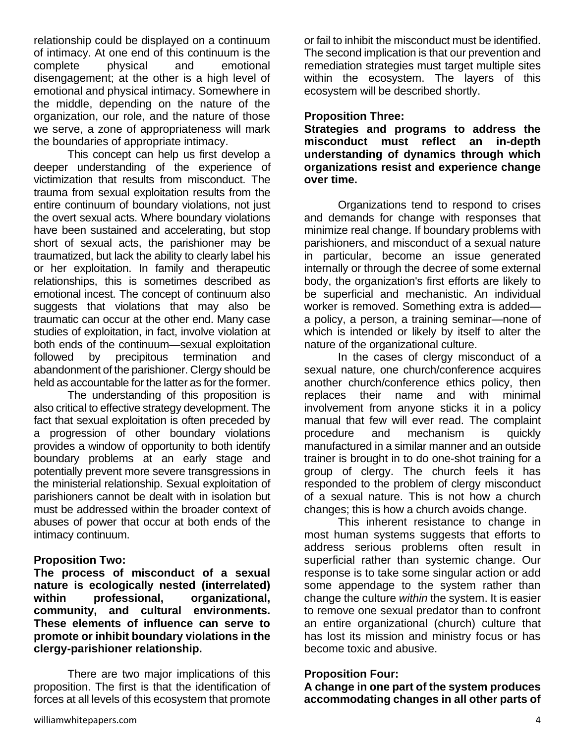relationship could be displayed on a continuum of intimacy. At one end of this continuum is the complete physical and emotional disengagement; at the other is a high level of emotional and physical intimacy. Somewhere in the middle, depending on the nature of the organization, our role, and the nature of those we serve, a zone of appropriateness will mark the boundaries of appropriate intimacy.

This concept can help us first develop a deeper understanding of the experience of victimization that results from misconduct. The trauma from sexual exploitation results from the entire continuum of boundary violations, not just the overt sexual acts. Where boundary violations have been sustained and accelerating, but stop short of sexual acts, the parishioner may be traumatized, but lack the ability to clearly label his or her exploitation. In family and therapeutic relationships, this is sometimes described as emotional incest. The concept of continuum also suggests that violations that may also be traumatic can occur at the other end. Many case studies of exploitation, in fact, involve violation at both ends of the continuum—sexual exploitation followed by precipitous termination and abandonment of the parishioner. Clergy should be held as accountable for the latter as for the former.

The understanding of this proposition is also critical to effective strategy development. The fact that sexual exploitation is often preceded by a progression of other boundary violations provides a window of opportunity to both identify boundary problems at an early stage and potentially prevent more severe transgressions in the ministerial relationship. Sexual exploitation of parishioners cannot be dealt with in isolation but must be addressed within the broader context of abuses of power that occur at both ends of the intimacy continuum.

## **Proposition Two:**

**The process of misconduct of a sexual nature is ecologically nested (interrelated) within professional, organizational, community, and cultural environments. These elements of influence can serve to promote or inhibit boundary violations in the clergy-parishioner relationship.** 

There are two major implications of this proposition. The first is that the identification of forces at all levels of this ecosystem that promote or fail to inhibit the misconduct must be identified. The second implication is that our prevention and remediation strategies must target multiple sites within the ecosystem. The layers of this ecosystem will be described shortly.

## **Proposition Three:**

**Strategies and programs to address the misconduct must reflect an in-depth understanding of dynamics through which organizations resist and experience change over time.** 

Organizations tend to respond to crises and demands for change with responses that minimize real change. If boundary problems with parishioners, and misconduct of a sexual nature in particular, become an issue generated internally or through the decree of some external body, the organization's first efforts are likely to be superficial and mechanistic. An individual worker is removed. Something extra is added a policy, a person, a training seminar—none of which is intended or likely by itself to alter the nature of the organizational culture.

In the cases of clergy misconduct of a sexual nature, one church/conference acquires another church/conference ethics policy, then replaces their name and with minimal involvement from anyone sticks it in a policy manual that few will ever read. The complaint procedure and mechanism is quickly manufactured in a similar manner and an outside trainer is brought in to do one-shot training for a group of clergy. The church feels it has responded to the problem of clergy misconduct of a sexual nature. This is not how a church changes; this is how a church avoids change.

This inherent resistance to change in most human systems suggests that efforts to address serious problems often result in superficial rather than systemic change. Our response is to take some singular action or add some appendage to the system rather than change the culture *within* the system. It is easier to remove one sexual predator than to confront an entire organizational (church) culture that has lost its mission and ministry focus or has become toxic and abusive.

## **Proposition Four:**

**A change in one part of the system produces accommodating changes in all other parts of**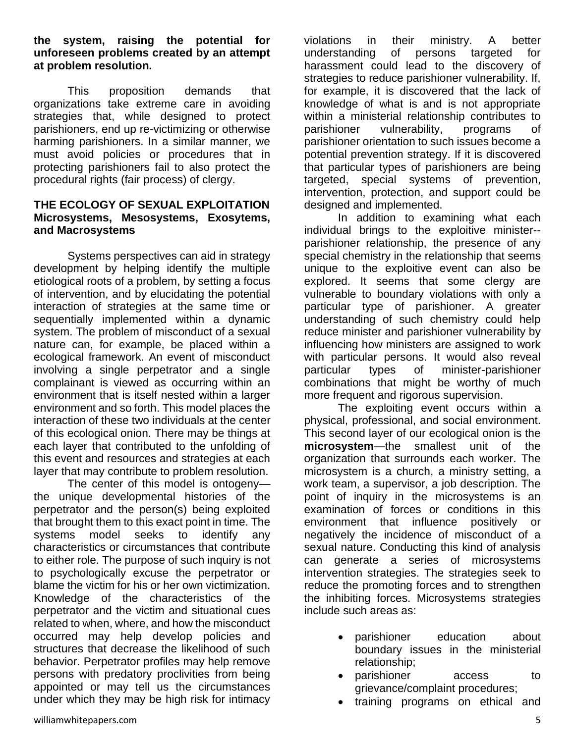**the system, raising the potential for unforeseen problems created by an attempt at problem resolution.** 

This proposition demands that organizations take extreme care in avoiding strategies that, while designed to protect parishioners, end up re-victimizing or otherwise harming parishioners. In a similar manner, we must avoid policies or procedures that in protecting parishioners fail to also protect the procedural rights (fair process) of clergy.

#### **THE ECOLOGY OF SEXUAL EXPLOITATION Microsystems, Mesosystems, Exosytems, and Macrosystems**

Systems perspectives can aid in strategy development by helping identify the multiple etiological roots of a problem, by setting a focus of intervention, and by elucidating the potential interaction of strategies at the same time or sequentially implemented within a dynamic system. The problem of misconduct of a sexual nature can, for example, be placed within a ecological framework. An event of misconduct involving a single perpetrator and a single complainant is viewed as occurring within an environment that is itself nested within a larger environment and so forth. This model places the interaction of these two individuals at the center of this ecological onion. There may be things at each layer that contributed to the unfolding of this event and resources and strategies at each layer that may contribute to problem resolution.

The center of this model is ontogeny the unique developmental histories of the perpetrator and the person(s) being exploited that brought them to this exact point in time. The systems model seeks to identify any characteristics or circumstances that contribute to either role. The purpose of such inquiry is not to psychologically excuse the perpetrator or blame the victim for his or her own victimization. Knowledge of the characteristics of the perpetrator and the victim and situational cues related to when, where, and how the misconduct occurred may help develop policies and structures that decrease the likelihood of such behavior. Perpetrator profiles may help remove persons with predatory proclivities from being appointed or may tell us the circumstances under which they may be high risk for intimacy

violations in their ministry. A better understanding of persons targeted for harassment could lead to the discovery of strategies to reduce parishioner vulnerability. If, for example, it is discovered that the lack of knowledge of what is and is not appropriate within a ministerial relationship contributes to parishioner vulnerability, programs of parishioner orientation to such issues become a potential prevention strategy. If it is discovered that particular types of parishioners are being targeted, special systems of prevention, intervention, protection, and support could be designed and implemented.

In addition to examining what each individual brings to the exploitive minister- parishioner relationship, the presence of any special chemistry in the relationship that seems unique to the exploitive event can also be explored. It seems that some clergy are vulnerable to boundary violations with only a particular type of parishioner. A greater understanding of such chemistry could help reduce minister and parishioner vulnerability by influencing how ministers are assigned to work with particular persons. It would also reveal particular types of minister-parishioner combinations that might be worthy of much more frequent and rigorous supervision.

The exploiting event occurs within a physical, professional, and social environment. This second layer of our ecological onion is the **microsystem**—the smallest unit of the organization that surrounds each worker. The microsystem is a church, a ministry setting, a work team, a supervisor, a job description. The point of inquiry in the microsystems is an examination of forces or conditions in this environment that influence positively or negatively the incidence of misconduct of a sexual nature. Conducting this kind of analysis can generate a series of microsystems intervention strategies. The strategies seek to reduce the promoting forces and to strengthen the inhibiting forces. Microsystems strategies include such areas as:

- parishioner education about boundary issues in the ministerial relationship;
- parishioner access to grievance/complaint procedures;
- training programs on ethical and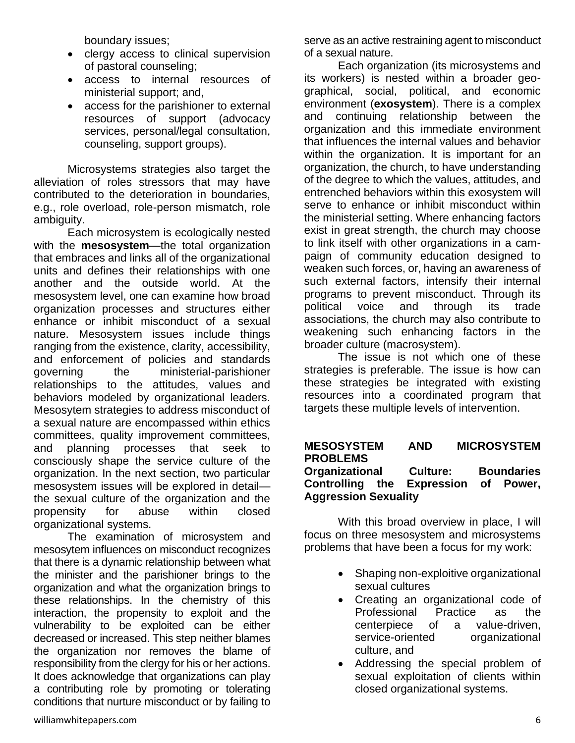boundary issues;

- clergy access to clinical supervision of pastoral counseling;
- access to internal resources of ministerial support; and,
- access for the parishioner to external resources of support (advocacy services, personal/legal consultation, counseling, support groups).

Microsystems strategies also target the alleviation of roles stressors that may have contributed to the deterioration in boundaries, e.g., role overload, role-person mismatch, role ambiguity.

Each microsystem is ecologically nested with the **mesosystem**—the total organization that embraces and links all of the organizational units and defines their relationships with one another and the outside world. At the mesosystem level, one can examine how broad organization processes and structures either enhance or inhibit misconduct of a sexual nature. Mesosystem issues include things ranging from the existence, clarity, accessibility, and enforcement of policies and standards governing the ministerial-parishioner relationships to the attitudes, values and behaviors modeled by organizational leaders. Mesosytem strategies to address misconduct of a sexual nature are encompassed within ethics committees, quality improvement committees, and planning processes that seek to consciously shape the service culture of the organization. In the next section, two particular mesosystem issues will be explored in detail the sexual culture of the organization and the propensity for abuse within closed organizational systems.

The examination of microsystem and mesosytem influences on misconduct recognizes that there is a dynamic relationship between what the minister and the parishioner brings to the organization and what the organization brings to these relationships. In the chemistry of this interaction, the propensity to exploit and the vulnerability to be exploited can be either decreased or increased. This step neither blames the organization nor removes the blame of responsibility from the clergy for his or her actions. It does acknowledge that organizations can play a contributing role by promoting or tolerating conditions that nurture misconduct or by failing to serve as an active restraining agent to misconduct of a sexual nature.

Each organization (its microsystems and its workers) is nested within a broader geographical, social, political, and economic environment (**exosystem**). There is a complex and continuing relationship between the organization and this immediate environment that influences the internal values and behavior within the organization. It is important for an organization, the church, to have understanding of the degree to which the values, attitudes, and entrenched behaviors within this exosystem will serve to enhance or inhibit misconduct within the ministerial setting. Where enhancing factors exist in great strength, the church may choose to link itself with other organizations in a campaign of community education designed to weaken such forces, or, having an awareness of such external factors, intensify their internal programs to prevent misconduct. Through its political voice and through its trade associations, the church may also contribute to weakening such enhancing factors in the broader culture (macrosystem).

The issue is not which one of these strategies is preferable. The issue is how can these strategies be integrated with existing resources into a coordinated program that targets these multiple levels of intervention.

#### **MESOSYSTEM AND MICROSYSTEM PROBLEMS Organizational Culture: Boundaries Controlling the Expression of Power, Aggression Sexuality**

With this broad overview in place, I will focus on three mesosystem and microsystems problems that have been a focus for my work:

- Shaping non-exploitive organizational sexual cultures
- Creating an organizational code of Professional Practice as the centerpiece of a value-driven, service-oriented organizational culture, and
- Addressing the special problem of sexual exploitation of clients within closed organizational systems.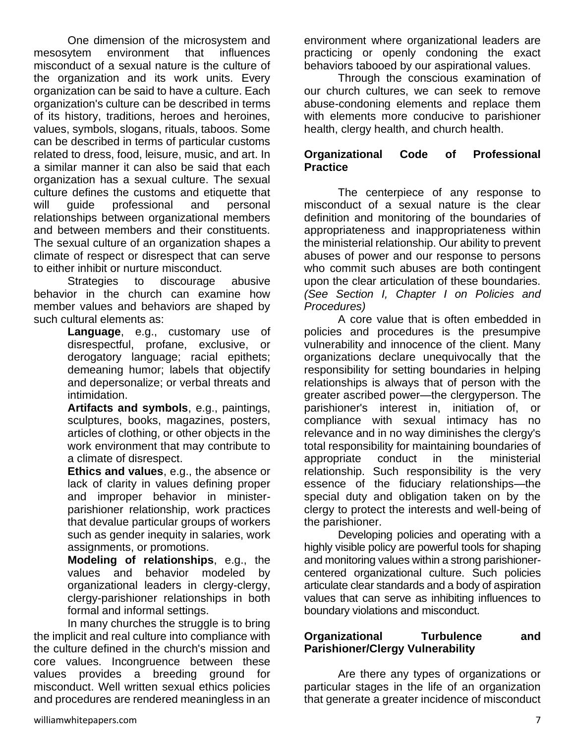One dimension of the microsystem and mesosytem environment that influences misconduct of a sexual nature is the culture of the organization and its work units. Every organization can be said to have a culture. Each organization's culture can be described in terms of its history, traditions, heroes and heroines, values, symbols, slogans, rituals, taboos. Some can be described in terms of particular customs related to dress, food, leisure, music, and art. In a similar manner it can also be said that each organization has a sexual culture. The sexual culture defines the customs and etiquette that will guide professional and personal relationships between organizational members and between members and their constituents. The sexual culture of an organization shapes a climate of respect or disrespect that can serve to either inhibit or nurture misconduct.

Strategies to discourage abusive behavior in the church can examine how member values and behaviors are shaped by such cultural elements as:

> **Language**, e.g., customary use of disrespectful, profane, exclusive, or derogatory language; racial epithets; demeaning humor; labels that objectify and depersonalize; or verbal threats and intimidation.

> **Artifacts and symbols**, e.g., paintings, sculptures, books, magazines, posters, articles of clothing, or other objects in the work environment that may contribute to a climate of disrespect.

> **Ethics and values**, e.g., the absence or lack of clarity in values defining proper and improper behavior in ministerparishioner relationship, work practices that devalue particular groups of workers such as gender inequity in salaries, work assignments, or promotions.

> **Modeling of relationships**, e.g., the values and behavior modeled by organizational leaders in clergy-clergy, clergy-parishioner relationships in both formal and informal settings.

In many churches the struggle is to bring the implicit and real culture into compliance with the culture defined in the church's mission and core values. Incongruence between these values provides a breeding ground for misconduct. Well written sexual ethics policies and procedures are rendered meaningless in an environment where organizational leaders are practicing or openly condoning the exact behaviors tabooed by our aspirational values.

Through the conscious examination of our church cultures, we can seek to remove abuse-condoning elements and replace them with elements more conducive to parishioner health, clergy health, and church health.

## **Organizational Code of Professional Practice**

The centerpiece of any response to misconduct of a sexual nature is the clear definition and monitoring of the boundaries of appropriateness and inappropriateness within the ministerial relationship. Our ability to prevent abuses of power and our response to persons who commit such abuses are both contingent upon the clear articulation of these boundaries. *(See Section I, Chapter I on Policies and Procedures)* 

A core value that is often embedded in policies and procedures is the presumpive vulnerability and innocence of the client. Many organizations declare unequivocally that the responsibility for setting boundaries in helping relationships is always that of person with the greater ascribed power—the clergyperson. The parishioner's interest in, initiation of, or compliance with sexual intimacy has no relevance and in no way diminishes the clergy's total responsibility for maintaining boundaries of appropriate conduct in the ministerial relationship. Such responsibility is the very essence of the fiduciary relationships—the special duty and obligation taken on by the clergy to protect the interests and well-being of the parishioner.

Developing policies and operating with a highly visible policy are powerful tools for shaping and monitoring values within a strong parishionercentered organizational culture. Such policies articulate clear standards and a body of aspiration values that can serve as inhibiting influences to boundary violations and misconduct.

#### **Organizational Turbulence and Parishioner/Clergy Vulnerability**

Are there any types of organizations or particular stages in the life of an organization that generate a greater incidence of misconduct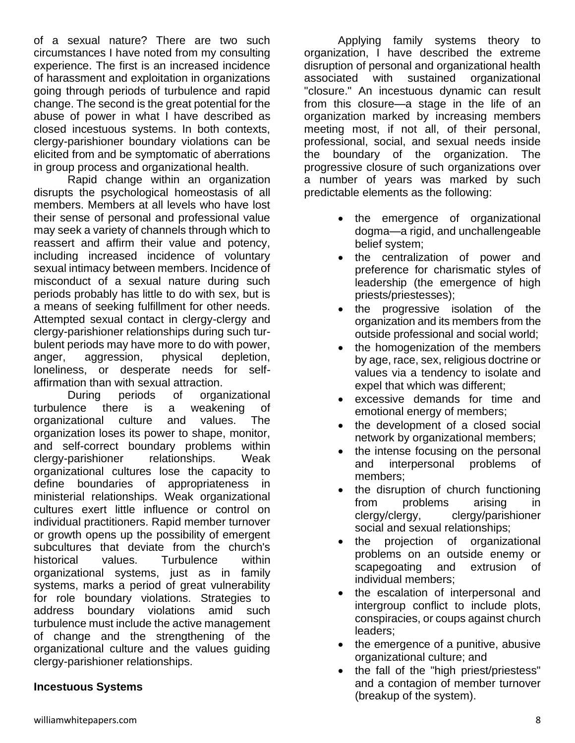of a sexual nature? There are two such circumstances I have noted from my consulting experience. The first is an increased incidence of harassment and exploitation in organizations going through periods of turbulence and rapid change. The second is the great potential for the abuse of power in what I have described as closed incestuous systems. In both contexts, clergy-parishioner boundary violations can be elicited from and be symptomatic of aberrations in group process and organizational health.

Rapid change within an organization disrupts the psychological homeostasis of all members. Members at all levels who have lost their sense of personal and professional value may seek a variety of channels through which to reassert and affirm their value and potency, including increased incidence of voluntary sexual intimacy between members. Incidence of misconduct of a sexual nature during such periods probably has little to do with sex, but is a means of seeking fulfillment for other needs. Attempted sexual contact in clergy-clergy and clergy-parishioner relationships during such turbulent periods may have more to do with power, anger, aggression, physical depletion, loneliness, or desperate needs for selfaffirmation than with sexual attraction.

During periods of organizational turbulence there is a weakening of organizational culture and values. The organization loses its power to shape, monitor, and self-correct boundary problems within clergy-parishioner relationships. Weak organizational cultures lose the capacity to define boundaries of appropriateness in ministerial relationships. Weak organizational cultures exert little influence or control on individual practitioners. Rapid member turnover or growth opens up the possibility of emergent subcultures that deviate from the church's historical values. Turbulence within organizational systems, just as in family systems, marks a period of great vulnerability for role boundary violations. Strategies to address boundary violations amid such turbulence must include the active management of change and the strengthening of the organizational culture and the values guiding clergy-parishioner relationships.

## **Incestuous Systems**

Applying family systems theory to organization, I have described the extreme disruption of personal and organizational health associated with sustained organizational "closure." An incestuous dynamic can result from this closure—a stage in the life of an organization marked by increasing members meeting most, if not all, of their personal, professional, social, and sexual needs inside the boundary of the organization. The progressive closure of such organizations over a number of years was marked by such predictable elements as the following:

- the emergence of organizational dogma—a rigid, and unchallengeable belief system;
- the centralization of power and preference for charismatic styles of leadership (the emergence of high priests/priestesses);
- the progressive isolation of the organization and its members from the outside professional and social world;
- the homogenization of the members by age, race, sex, religious doctrine or values via a tendency to isolate and expel that which was different;
- excessive demands for time and emotional energy of members;
- the development of a closed social network by organizational members;
- the intense focusing on the personal and interpersonal problems of members;
- the disruption of church functioning from problems arising in clergy/clergy, clergy/parishioner social and sexual relationships;
- the projection of organizational problems on an outside enemy or scapegoating and extrusion of individual members;
- the escalation of interpersonal and intergroup conflict to include plots, conspiracies, or coups against church leaders;
- the emergence of a punitive, abusive organizational culture; and
- the fall of the "high priest/priestess" and a contagion of member turnover (breakup of the system).